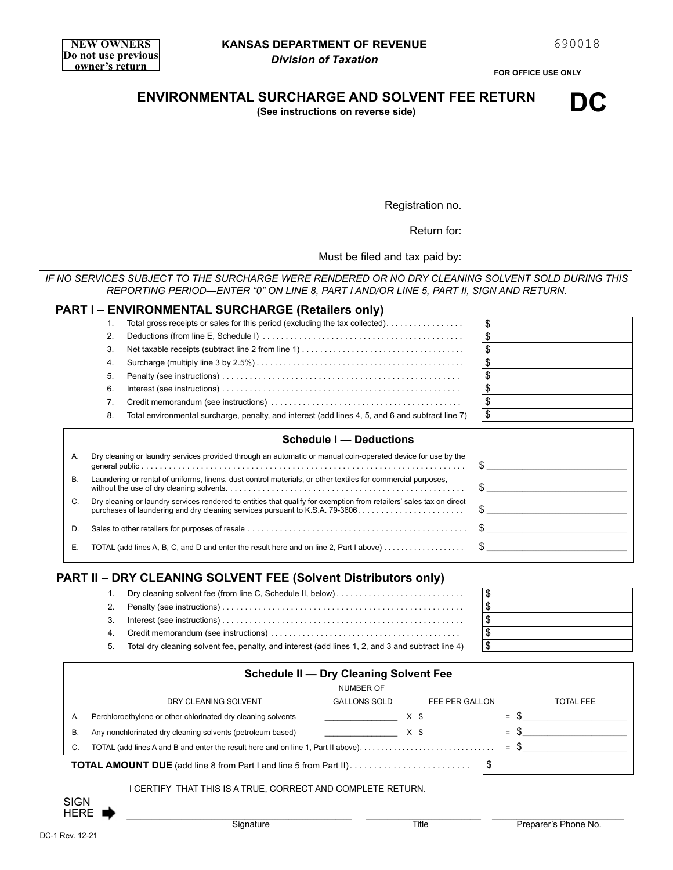**FOR OFFICE USE ONLY**

**ENVIRONMENTAL SURCHARGE AND SOLVENT FEE RETURN**

**(See instructions on reverse side)**



Registration no.

Return for:

Must be filed and tax paid by:

*IF NO SERVICES SUBJECT TO THE SURCHARGE WERE RENDERED OR NO DRY CLEANING SOLVENT SOLD DURING THIS REPORTING PERIOD—ENTER "0" ON LINE 8, PART I AND/OR LINE 5, PART II, SIGN AND RETURN.*

|    |    | <b>PART I – ENVIRONMENTAL SURCHARGE (Retailers only)</b>                                                             |                               |
|----|----|----------------------------------------------------------------------------------------------------------------------|-------------------------------|
|    | 1. | Total gross receipts or sales for this period (excluding the tax collected).                                         | \$                            |
| 2. |    |                                                                                                                      | \$                            |
| 3. |    |                                                                                                                      | \$                            |
|    | 4. |                                                                                                                      | \$                            |
|    | 5. |                                                                                                                      | \$                            |
| 6. |    |                                                                                                                      |                               |
|    | 7. |                                                                                                                      | \$                            |
|    | 8. | Total environmental surcharge, penalty, and interest (add lines 4, 5, and 6 and subtract line 7)                     | \$                            |
|    |    |                                                                                                                      |                               |
|    |    | <b>Schedule I - Deductions</b>                                                                                       |                               |
| А. |    | Dry cleaning or laundry services provided through an automatic or manual coin-operated device for use by the         | \$                            |
| В. |    | Laundering or rental of uniforms, linens, dust control materials, or other textiles for commercial purposes,         | \$                            |
| C. |    | Dry cleaning or laundry services rendered to entities that qualify for exemption from retailers' sales tax on direct | \$                            |
| D. |    |                                                                                                                      | $\mathbb{S}$ and $\mathbb{S}$ |

# **PART II – DRY CLEANING SOLVENT FEE (Solvent Distributors only)**

| 2.  |                                                                                                   |                      |
|-----|---------------------------------------------------------------------------------------------------|----------------------|
| 3.  |                                                                                                   | $\frac{1}{\sqrt{2}}$ |
|     |                                                                                                   |                      |
| -5. | Total dry cleaning solvent fee, penalty, and interest (add lines 1, 2, and 3 and subtract line 4) |                      |

| <b>Schedule II - Dry Cleaning Solvent Fee</b> |                                                                                  |                     |                |        |                  |  |  |  |
|-----------------------------------------------|----------------------------------------------------------------------------------|---------------------|----------------|--------|------------------|--|--|--|
|                                               | <b>NUMBER OF</b>                                                                 |                     |                |        |                  |  |  |  |
|                                               | DRY CLEANING SOLVENT                                                             | <b>GALLONS SOLD</b> | FEE PER GALLON |        | <b>TOTAL FEE</b> |  |  |  |
| А.                                            | Perchloroethylene or other chlorinated dry cleaning solvents                     |                     | X \$           | $=$ S  |                  |  |  |  |
| В.                                            | Any nonchlorinated dry cleaning solvents (petroleum based)                       |                     | X \$           | $=$ \$ |                  |  |  |  |
| C.                                            | TOTAL (add lines A and B and enter the result here and on line 1, Part II above) |                     |                | $=$ \$ |                  |  |  |  |
|                                               |                                                                                  |                     |                |        |                  |  |  |  |

### I CERTIFY THAT THIS IS A TRUE, CORRECT AND COMPLETE RETURN.